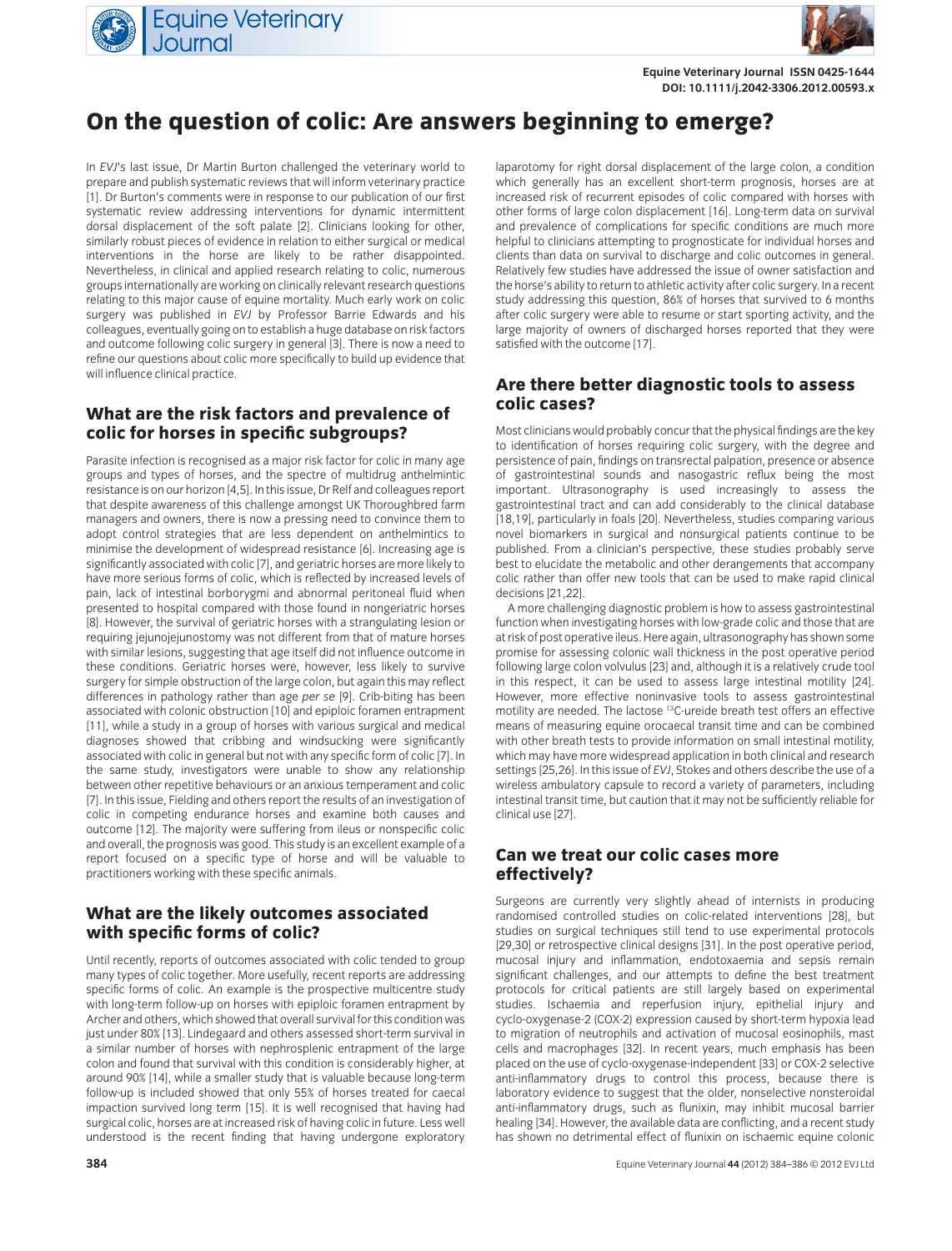



**Equine Veterinary Journal ISSN 0425-1644 DOI: 10.1111/j.2042-3306.2012.00593.x**

### **On the question of colic: Are answers beginning to emerge?**

In *EVJ*'s last issue, Dr Martin Burton challenged the veterinary world to prepare and publish systematic reviews that will inform veterinary practice [1]. Dr Burton's comments were in response to our publication of our first systematic review addressing interventions for dynamic intermittent dorsal displacement of the soft palate [2]. Clinicians looking for other, similarly robust pieces of evidence in relation to either surgical or medical interventions in the horse are likely to be rather disappointed. Nevertheless, in clinical and applied research relating to colic, numerous groups internationally are working on clinically relevant research questions relating to this major cause of equine mortality. Much early work on colic surgery was published in *EVJ* by Professor Barrie Edwards and his colleagues, eventually going on to establish a huge database on risk factors and outcome following colic surgery in general [3]. There is now a need to refine our questions about colic more specifically to build up evidence that will influence clinical practice.

#### **What are the risk factors and prevalence of colic for horses in specific subgroups?**

Parasite infection is recognised as a major risk factor for colic in many age groups and types of horses, and the spectre of multidrug anthelmintic resistance is on our horizon [4,5]. In this issue, Dr Relf and colleagues report that despite awareness of this challenge amongst UK Thoroughbred farm managers and owners, there is now a pressing need to convince them to adopt control strategies that are less dependent on anthelmintics to minimise the development of widespread resistance [6]. Increasing age is significantly associated with colic [7], and geriatric horses are more likely to have more serious forms of colic, which is reflected by increased levels of pain, lack of intestinal borborygmi and abnormal peritoneal fluid when presented to hospital compared with those found in nongeriatric horses [8]. However, the survival of geriatric horses with a strangulating lesion or requiring jejunojejunostomy was not different from that of mature horses with similar lesions, suggesting that age itself did not influence outcome in these conditions. Geriatric horses were, however, less likely to survive surgery for simple obstruction of the large colon, but again this may reflect differences in pathology rather than age *per se* [9]. Crib-biting has been associated with colonic obstruction [10] and epiploic foramen entrapment [11], while a study in a group of horses with various surgical and medical diagnoses showed that cribbing and windsucking were significantly associated with colic in general but not with any specific form of colic [7]. In the same study, investigators were unable to show any relationship between other repetitive behaviours or an anxious temperament and colic [7]. In this issue, Fielding and others report the results of an investigation of colic in competing endurance horses and examine both causes and outcome [12]. The majority were suffering from ileus or nonspecific colic and overall, the prognosis was good. This study is an excellent example of a report focused on a specific type of horse and will be valuable to practitioners working with these specific animals.

#### **What are the likely outcomes associated with specific forms of colic?**

Until recently, reports of outcomes associated with colic tended to group many types of colic together. More usefully, recent reports are addressing specific forms of colic. An example is the prospective multicentre study with long-term follow-up on horses with epiploic foramen entrapment by Archer and others, which showed that overall survival for this condition was just under 80% [13]. Lindegaard and others assessed short-term survival in a similar number of horses with nephrosplenic entrapment of the large colon and found that survival with this condition is considerably higher, at around 90% [14], while a smaller study that is valuable because long-term follow-up is included showed that only 55% of horses treated for caecal impaction survived long term [15]. It is well recognised that having had surgical colic, horses are at increased risk of having colic in future. Less well understood is the recent finding that having undergone exploratory laparotomy for right dorsal displacement of the large colon, a condition which generally has an excellent short-term prognosis, horses are at increased risk of recurrent episodes of colic compared with horses with other forms of large colon displacement [16]. Long-term data on survival and prevalence of complications for specific conditions are much more helpful to clinicians attempting to prognosticate for individual horses and clients than data on survival to discharge and colic outcomes in general. Relatively few studies have addressed the issue of owner satisfaction and the horse's ability to return to athletic activity after colic surgery. In a recent study addressing this question, 86% of horses that survived to 6 months after colic surgery were able to resume or start sporting activity, and the large majority of owners of discharged horses reported that they were satisfied with the outcome [17].

#### **Are there better diagnostic tools to assess colic cases?**

Most clinicians would probably concur that the physical findings are the key to identification of horses requiring colic surgery, with the degree and persistence of pain, findings on transrectal palpation, presence or absence of gastrointestinal sounds and nasogastric reflux being the most important. Ultrasonography is used increasingly to assess the gastrointestinal tract and can add considerably to the clinical database [18,19], particularly in foals [20]. Nevertheless, studies comparing various novel biomarkers in surgical and nonsurgical patients continue to be published. From a clinician's perspective, these studies probably serve best to elucidate the metabolic and other derangements that accompany colic rather than offer new tools that can be used to make rapid clinical decisions [21,22]

A more challenging diagnostic problem is how to assess gastrointestinal function when investigating horses with low-grade colic and those that are at risk of post operative ileus. Here again, ultrasonography has shown some promise for assessing colonic wall thickness in the post operative period following large colon volvulus [23] and, although it is a relatively crude tool in this respect, it can be used to assess large intestinal motility [24]. However, more effective noninvasive tools to assess gastrointestinal motility are needed. The lactose 13C-ureide breath test offers an effective means of measuring equine orocaecal transit time and can be combined with other breath tests to provide information on small intestinal motility, which may have more widespread application in both clinical and research settings [25,26]. In this issue of *EVJ*, Stokes and others describe the use of a wireless ambulatory capsule to record a variety of parameters, including intestinal transit time, but caution that it may not be sufficiently reliable for clinical use [27].

#### **Can we treat our colic cases more effectively?**

Surgeons are currently very slightly ahead of internists in producing randomised controlled studies on colic-related interventions [28], but studies on surgical techniques still tend to use experimental protocols [29,30] or retrospective clinical designs [31]. In the post operative period, mucosal injury and inflammation, endotoxaemia and sepsis remain significant challenges, and our attempts to define the best treatment protocols for critical patients are still largely based on experimental studies. Ischaemia and reperfusion injury, epithelial injury and cyclo-oxygenase-2 (COX-2) expression caused by short-term hypoxia lead to migration of neutrophils and activation of mucosal eosinophils, mast cells and macrophages [32]. In recent years, much emphasis has been placed on the use of cyclo-oxygenase-independent [33] or COX-2 selective anti-inflammatory drugs to control this process, because there is laboratory evidence to suggest that the older, nonselective nonsteroidal anti-inflammatory drugs, such as flunixin, may inhibit mucosal barrier healing [34]. However, the available data are conflicting, and a recent study has shown no detrimental effect of flunixin on ischaemic equine colonic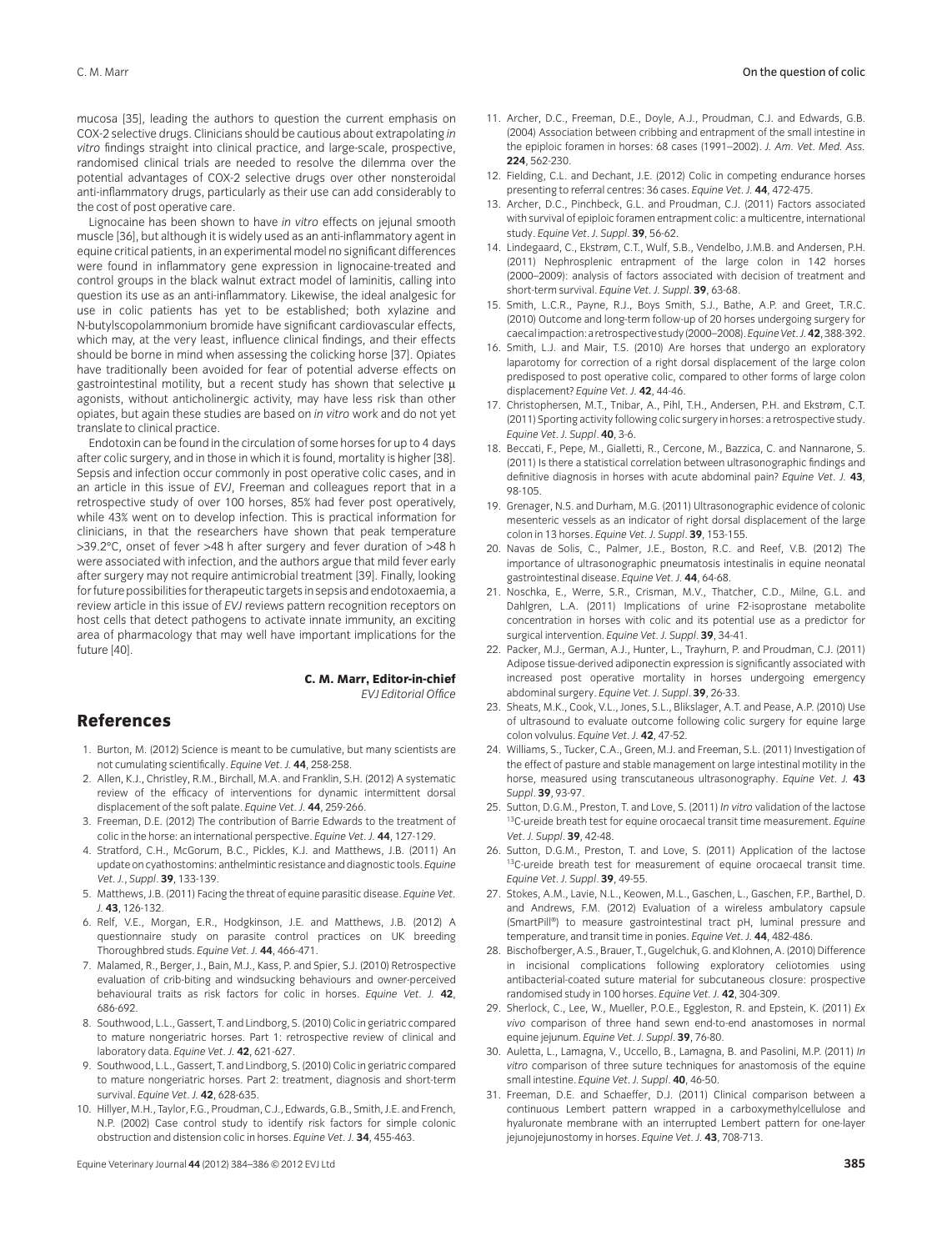mucosa [35], leading the authors to question the current emphasis on COX-2 selective drugs. Clinicians should be cautious about extrapolating *in vitro* findings straight into clinical practice, and large-scale, prospective, randomised clinical trials are needed to resolve the dilemma over the potential advantages of COX-2 selective drugs over other nonsteroidal anti-inflammatory drugs, particularly as their use can add considerably to the cost of post operative care.

Lignocaine has been shown to have *in vitro* effects on jejunal smooth muscle [36], but although it is widely used as an anti-inflammatory agent in equine critical patients, in an experimental model no significant differences were found in inflammatory gene expression in lignocaine-treated and control groups in the black walnut extract model of laminitis, calling into question its use as an anti-inflammatory. Likewise, the ideal analgesic for use in colic patients has yet to be established; both xylazine and N-butylscopolammonium bromide have significant cardiovascular effects, which may, at the very least, influence clinical findings, and their effects should be borne in mind when assessing the colicking horse [37]. Opiates have traditionally been avoided for fear of potential adverse effects on gastrointestinal motility, but a recent study has shown that selective  $\mu$ agonists, without anticholinergic activity, may have less risk than other opiates, but again these studies are based on *in vitro* work and do not yet translate to clinical practice.

Endotoxin can be found in the circulation of some horses for up to 4 days after colic surgery, and in those in which it is found, mortality is higher [38]. Sepsis and infection occur commonly in post operative colic cases, and in an article in this issue of *EVJ*, Freeman and colleagues report that in a retrospective study of over 100 horses, 85% had fever post operatively, while 43% went on to develop infection. This is practical information for clinicians, in that the researchers have shown that peak temperature >39.2°C, onset of fever >48 h after surgery and fever duration of >48 h were associated with infection, and the authors argue that mild fever early after surgery may not require antimicrobial treatment [39]. Finally, looking for future possibilities for therapeutic targets in sepsis and endotoxaemia, a review article in this issue of *EVJ* reviews pattern recognition receptors on host cells that detect pathogens to activate innate immunity, an exciting area of pharmacology that may well have important implications for the future [40].

> **C. M. Marr, Editor-in-chief** *EVJ Editorial Office*

#### **References**

- 1. Burton, M. (2012) Science is meant to be cumulative, but many scientists are not cumulating scientifically. *Equine Vet. J.* **44**, 258-258.
- 2. Allen, K.J., Christley, R.M., Birchall, M.A. and Franklin, S.H. (2012) A systematic review of the efficacy of interventions for dynamic intermittent dorsal displacement of the soft palate. *Equine Vet. J.* **44**, 259-266.
- 3. Freeman, D.E. (2012) The contribution of Barrie Edwards to the treatment of colic in the horse: an international perspective. *Equine Vet. J.* **44**, 127-129.
- 4. Stratford, C.H., McGorum, B.C., Pickles, K.J. and Matthews, J.B. (2011) An update on cyathostomins: anthelmintic resistance and diagnostic tools. *Equine Vet. J.*, *Suppl*. **39**, 133-139.
- 5. Matthews, J.B. (2011) Facing the threat of equine parasitic disease. *Equine Vet. J.* **43**, 126-132.
- 6. Relf, V.E., Morgan, E.R., Hodgkinson, J.E. and Matthews, J.B. (2012) A questionnaire study on parasite control practices on UK breeding Thoroughbred studs. *Equine Vet. J.* **44**, 466-471.
- 7. Malamed, R., Berger, J., Bain, M.J., Kass, P. and Spier, S.J. (2010) Retrospective evaluation of crib-biting and windsucking behaviours and owner-perceived behavioural traits as risk factors for colic in horses. *Equine Vet. J.* **42**, 686-692.
- 8. Southwood, L.L., Gassert, T. and Lindborg, S. (2010) Colic in geriatric compared to mature nongeriatric horses. Part 1: retrospective review of clinical and laboratory data. *Equine Vet. J.* **42**, 621-627.
- 9. Southwood, L.L., Gassert, T. and Lindborg, S. (2010) Colic in geriatric compared to mature nongeriatric horses. Part 2: treatment, diagnosis and short-term survival. *Equine Vet. J.* **42**, 628-635.
- 10. Hillyer, M.H., Taylor, F.G., Proudman, C.J., Edwards, G.B., Smith, J.E. and French, N.P. (2002) Case control study to identify risk factors for simple colonic obstruction and distension colic in horses. *Equine Vet. J.* **34**, 455-463.
- 11. Archer, D.C., Freeman, D.E., Doyle, A.J., Proudman, C.J. and Edwards, G.B. (2004) Association between cribbing and entrapment of the small intestine in the epiploic foramen in horses: 68 cases (1991–2002). *J. Am. Vet. Med. Ass.* **224**, 562-230.
- 12. Fielding, C.L. and Dechant, J.E. (2012) Colic in competing endurance horses presenting to referral centres: 36 cases. *Equine Vet. J.* **44**, 472-475.
- 13. Archer, D.C., Pinchbeck, G.L. and Proudman, C.J. (2011) Factors associated with survival of epiploic foramen entrapment colic: a multicentre, international study. *Equine Vet. J. Suppl*. **39**, 56-62.
- 14. Lindegaard, C., Ekstrøm, C.T., Wulf, S.B., Vendelbo, J.M.B. and Andersen, P.H. (2011) Nephrosplenic entrapment of the large colon in 142 horses (2000–2009): analysis of factors associated with decision of treatment and short-term survival. *Equine Vet. J. Suppl*. **39**, 63-68.
- 15. Smith, L.C.R., Payne, R.J., Boys Smith, S.J., Bathe, A.P. and Greet, T.R.C. (2010) Outcome and long-term follow-up of 20 horses undergoing surgery for caecal impaction: a retrospective study (2000–2008). Equine Vet. J. 42, 388-392.
- 16. Smith, L.J. and Mair, T.S. (2010) Are horses that undergo an exploratory laparotomy for correction of a right dorsal displacement of the large colon predisposed to post operative colic, compared to other forms of large colon displacement? *Equine Vet. J.* **42**, 44-46.
- 17. Christophersen, M.T., Tnibar, A., Pihl, T.H., Andersen, P.H. and Ekstrøm, C.T. (2011) Sporting activity following colic surgery in horses: a retrospective study. *Equine Vet. J. Suppl*. **40**, 3-6.
- 18. Beccati, F., Pepe, M., Gialletti, R., Cercone, M., Bazzica, C. and Nannarone, S. (2011) Is there a statistical correlation between ultrasonographic findings and definitive diagnosis in horses with acute abdominal pain? *Equine Vet. J.* **43**, 98-105.
- 19. Grenager, N.S. and Durham, M.G. (2011) Ultrasonographic evidence of colonic mesenteric vessels as an indicator of right dorsal displacement of the large colon in 13 horses. *Equine Vet. J. Suppl*. **39**, 153-155.
- 20. Navas de Solis, C., Palmer, J.E., Boston, R.C. and Reef, V.B. (2012) The importance of ultrasonographic pneumatosis intestinalis in equine neonatal gastrointestinal disease. *Equine Vet. J.* **44**, 64-68.
- 21. Noschka, E., Werre, S.R., Crisman, M.V., Thatcher, C.D., Milne, G.L. and Dahlgren, L.A. (2011) Implications of urine F2-isoprostane metabolite concentration in horses with colic and its potential use as a predictor for surgical intervention. *Equine Vet. J. Suppl*. **39**, 34-41.
- 22. Packer, M.J., German, A.J., Hunter, L., Trayhurn, P. and Proudman, C.J. (2011) Adipose tissue-derived adiponectin expression is significantly associated with increased post operative mortality in horses undergoing emergency abdominal surgery. *Equine Vet. J. Suppl*. **39**, 26-33.
- 23. Sheats, M.K., Cook, V.L., Jones, S.L., Blikslager, A.T. and Pease, A.P. (2010) Use of ultrasound to evaluate outcome following colic surgery for equine large colon volvulus. *Equine Vet. J.* **42**, 47-52.
- 24. Williams, S., Tucker, C.A., Green, M.J. and Freeman, S.L. (2011) Investigation of the effect of pasture and stable management on large intestinal motility in the horse, measured using transcutaneous ultrasonography. *Equine Vet. J.* **43** *Suppl*. **39**, 93-97.
- 25. Sutton, D.G.M., Preston, T. and Love, S. (2011) *In vitro* validation of the lactose 13C-ureide breath test for equine orocaecal transit time measurement. *Equine Vet. J. Suppl*. **39**, 42-48.
- 26. Sutton, D.G.M., Preston, T. and Love, S. (2011) Application of the lactose 13C-ureide breath test for measurement of equine orocaecal transit time. *Equine Vet. J. Suppl*. **39**, 49-55.
- 27. Stokes, A.M., Lavie, N.L., Keowen, M.L., Gaschen, L., Gaschen, F.P., Barthel, D. and Andrews, F.M. (2012) Evaluation of a wireless ambulatory capsule (SmartPill®) to measure gastrointestinal tract pH, luminal pressure and temperature, and transit time in ponies. *Equine Vet. J.* **44**, 482-486.
- 28. Bischofberger, A.S., Brauer, T., Gugelchuk, G. and Klohnen, A. (2010) Difference in incisional complications following exploratory celiotomies using antibacterial-coated suture material for subcutaneous closure: prospective randomised study in 100 horses. *Equine Vet. J.* **42**, 304-309.
- 29. Sherlock, C., Lee, W., Mueller, P.O.E., Eggleston, R. and Epstein, K. (2011) *Ex vivo* comparison of three hand sewn end-to-end anastomoses in normal equine jejunum. *Equine Vet. J. Suppl*. **39**, 76-80.
- 30. Auletta, L., Lamagna, V., Uccello, B., Lamagna, B. and Pasolini, M.P. (2011) *In vitro* comparison of three suture techniques for anastomosis of the equine small intestine. *Equine Vet. J. Suppl*. **40**, 46-50.
- 31. Freeman, D.E. and Schaeffer, D.J. (2011) Clinical comparison between a continuous Lembert pattern wrapped in a carboxymethylcellulose and hyaluronate membrane with an interrupted Lembert pattern for one-layer jejunojejunostomy in horses. *Equine Vet. J.* **43**, 708-713.